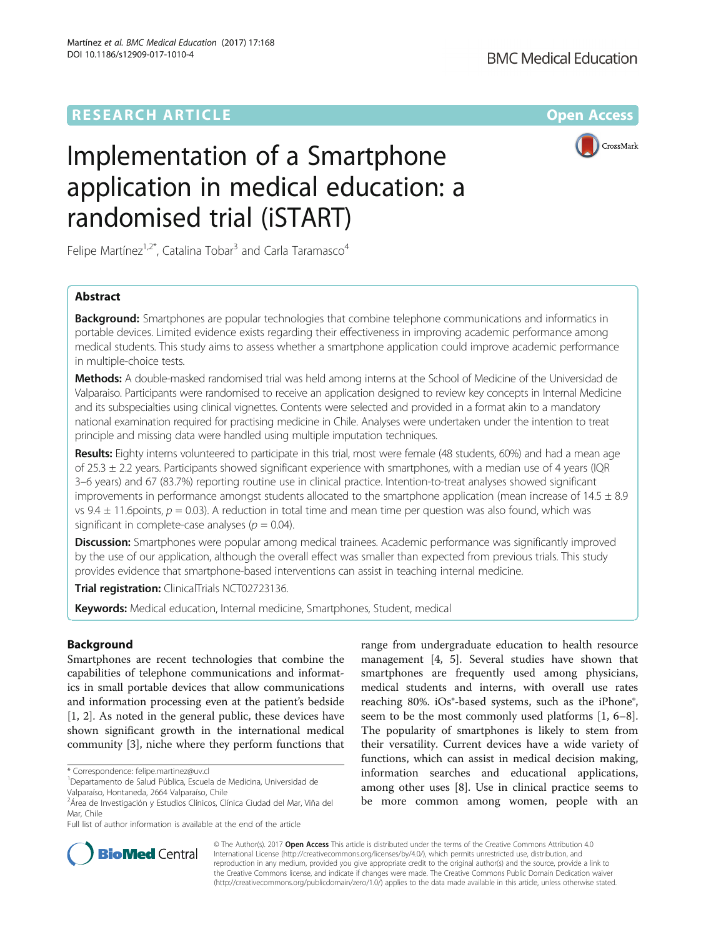CrossMark

# Implementation of a Smartphone application in medical education: a randomised trial (iSTART)

Felipe Martínez<sup>1,2\*</sup>, Catalina Tobar<sup>3</sup> and Carla Taramasco<sup>4</sup>

## Abstract

**Background:** Smartphones are popular technologies that combine telephone communications and informatics in portable devices. Limited evidence exists regarding their effectiveness in improving academic performance among medical students. This study aims to assess whether a smartphone application could improve academic performance in multiple-choice tests.

Methods: A double-masked randomised trial was held among interns at the School of Medicine of the Universidad de Valparaiso. Participants were randomised to receive an application designed to review key concepts in Internal Medicine and its subspecialties using clinical vignettes. Contents were selected and provided in a format akin to a mandatory national examination required for practising medicine in Chile. Analyses were undertaken under the intention to treat principle and missing data were handled using multiple imputation techniques.

Results: Eighty interns volunteered to participate in this trial, most were female (48 students, 60%) and had a mean age of 25.3  $\pm$  2.2 years. Participants showed significant experience with smartphones, with a median use of 4 years (IQR 3–6 years) and 67 (83.7%) reporting routine use in clinical practice. Intention-to-treat analyses showed significant improvements in performance amongst students allocated to the smartphone application (mean increase of  $14.5 \pm 8.9$ ) vs  $9.4 \pm 11.6$ points,  $p = 0.03$ ). A reduction in total time and mean time per question was also found, which was significant in complete-case analyses ( $p = 0.04$ ).

**Discussion:** Smartphones were popular among medical trainees. Academic performance was significantly improved by the use of our application, although the overall effect was smaller than expected from previous trials. This study provides evidence that smartphone-based interventions can assist in teaching internal medicine.

Trial registration: ClinicalTrials [NCT02723136.](https://clinicaltrials.gov/ct2/show/NCT02723136?term=NCT02723136&rank=1)

Keywords: Medical education, Internal medicine, Smartphones, Student, medical

# Background

Smartphones are recent technologies that combine the capabilities of telephone communications and informatics in small portable devices that allow communications and information processing even at the patient's bedside [[1, 2](#page-7-0)]. As noted in the general public, these devices have shown significant growth in the international medical community [[3\]](#page-7-0), niche where they perform functions that

range from undergraduate education to health resource management [[4, 5\]](#page-7-0). Several studies have shown that smartphones are frequently used among physicians, medical students and interns, with overall use rates reaching 80%. iOs<sup>®</sup>-based systems, such as the iPhone<sup>®</sup>, seem to be the most commonly used platforms [\[1](#page-7-0), [6](#page-7-0)–[8](#page-7-0)]. The popularity of smartphones is likely to stem from their versatility. Current devices have a wide variety of functions, which can assist in medical decision making, information searches and educational applications, among other uses [[8\]](#page-7-0). Use in clinical practice seems to be more common among women, people with an



© The Author(s). 2017 **Open Access** This article is distributed under the terms of the Creative Commons Attribution 4.0 International License [\(http://creativecommons.org/licenses/by/4.0/](http://creativecommons.org/licenses/by/4.0/)), which permits unrestricted use, distribution, and reproduction in any medium, provided you give appropriate credit to the original author(s) and the source, provide a link to the Creative Commons license, and indicate if changes were made. The Creative Commons Public Domain Dedication waiver [\(http://creativecommons.org/publicdomain/zero/1.0/](http://creativecommons.org/publicdomain/zero/1.0/)) applies to the data made available in this article, unless otherwise stated.

<sup>\*</sup> Correspondence: [felipe.martinez@uv.cl](mailto:felipe.martinez@uv.cl) <sup>1</sup>

Departamento de Salud Pública, Escuela de Medicina, Universidad de Valparaíso, Hontaneda, 2664 Valparaíso, Chile

<sup>&</sup>lt;sup>2</sup>Área de Investigación y Estudios Clínicos, Clínica Ciudad del Mar, Viña del Mar, Chile

Full list of author information is available at the end of the article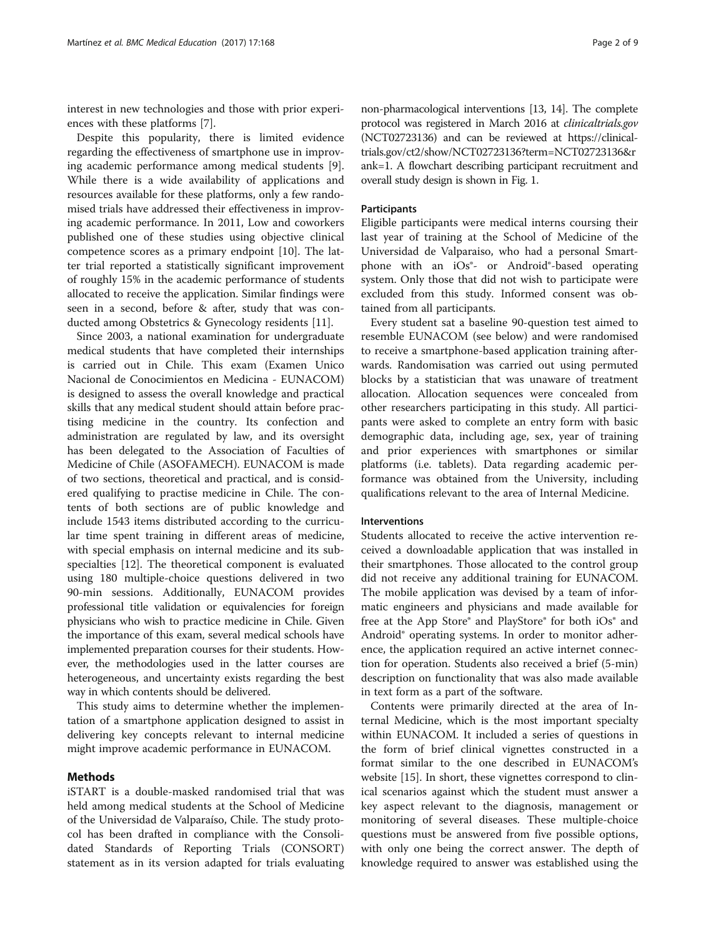interest in new technologies and those with prior experiences with these platforms [[7\]](#page-7-0).

Despite this popularity, there is limited evidence regarding the effectiveness of smartphone use in improving academic performance among medical students [\[9](#page-7-0)]. While there is a wide availability of applications and resources available for these platforms, only a few randomised trials have addressed their effectiveness in improving academic performance. In 2011, Low and coworkers published one of these studies using objective clinical competence scores as a primary endpoint [\[10\]](#page-7-0). The latter trial reported a statistically significant improvement of roughly 15% in the academic performance of students allocated to receive the application. Similar findings were seen in a second, before & after, study that was conducted among Obstetrics & Gynecology residents [\[11](#page-7-0)].

Since 2003, a national examination for undergraduate medical students that have completed their internships is carried out in Chile. This exam (Examen Unico Nacional de Conocimientos en Medicina - EUNACOM) is designed to assess the overall knowledge and practical skills that any medical student should attain before practising medicine in the country. Its confection and administration are regulated by law, and its oversight has been delegated to the Association of Faculties of Medicine of Chile (ASOFAMECH). EUNACOM is made of two sections, theoretical and practical, and is considered qualifying to practise medicine in Chile. The contents of both sections are of public knowledge and include 1543 items distributed according to the curricular time spent training in different areas of medicine, with special emphasis on internal medicine and its subspecialties [\[12\]](#page-7-0). The theoretical component is evaluated using 180 multiple-choice questions delivered in two 90-min sessions. Additionally, EUNACOM provides professional title validation or equivalencies for foreign physicians who wish to practice medicine in Chile. Given the importance of this exam, several medical schools have implemented preparation courses for their students. However, the methodologies used in the latter courses are heterogeneous, and uncertainty exists regarding the best way in which contents should be delivered.

This study aims to determine whether the implementation of a smartphone application designed to assist in delivering key concepts relevant to internal medicine might improve academic performance in EUNACOM.

## Methods

iSTART is a double-masked randomised trial that was held among medical students at the School of Medicine of the Universidad de Valparaíso, Chile. The study protocol has been drafted in compliance with the Consolidated Standards of Reporting Trials (CONSORT) statement as in its version adapted for trials evaluating non-pharmacological interventions [[13, 14](#page-7-0)]. The complete protocol was registered in March 2016 at [clinicaltrials.gov](http://clinicaltrials.gov) (NCT02723136) and can be reviewed at [https://clinical](https://clinicaltrials.gov/ct2/show/NCT02723136?term=NCT02723136&rank=1)[trials.gov/ct2/show/NCT02723136?term=NCT02723136&r](https://clinicaltrials.gov/ct2/show/NCT02723136?term=NCT02723136&rank=1) [ank=1](https://clinicaltrials.gov/ct2/show/NCT02723136?term=NCT02723136&rank=1). A flowchart describing participant recruitment and

#### **Participants**

overall study design is shown in Fig. [1.](#page-2-0)

Eligible participants were medical interns coursing their last year of training at the School of Medicine of the Universidad de Valparaiso, who had a personal Smartphone with an iOs®- or Android®-based operating system. Only those that did not wish to participate were excluded from this study. Informed consent was obtained from all participants.

Every student sat a baseline 90-question test aimed to resemble EUNACOM (see below) and were randomised to receive a smartphone-based application training afterwards. Randomisation was carried out using permuted blocks by a statistician that was unaware of treatment allocation. Allocation sequences were concealed from other researchers participating in this study. All participants were asked to complete an entry form with basic demographic data, including age, sex, year of training and prior experiences with smartphones or similar platforms (i.e. tablets). Data regarding academic performance was obtained from the University, including qualifications relevant to the area of Internal Medicine.

#### Interventions

Students allocated to receive the active intervention received a downloadable application that was installed in their smartphones. Those allocated to the control group did not receive any additional training for EUNACOM. The mobile application was devised by a team of informatic engineers and physicians and made available for free at the App Store® and PlayStore® for both iOs® and Android® operating systems. In order to monitor adherence, the application required an active internet connection for operation. Students also received a brief (5-min) description on functionality that was also made available in text form as a part of the software.

Contents were primarily directed at the area of Internal Medicine, which is the most important specialty within EUNACOM. It included a series of questions in the form of brief clinical vignettes constructed in a format similar to the one described in EUNACOM's website [\[15\]](#page-7-0). In short, these vignettes correspond to clinical scenarios against which the student must answer a key aspect relevant to the diagnosis, management or monitoring of several diseases. These multiple-choice questions must be answered from five possible options, with only one being the correct answer. The depth of knowledge required to answer was established using the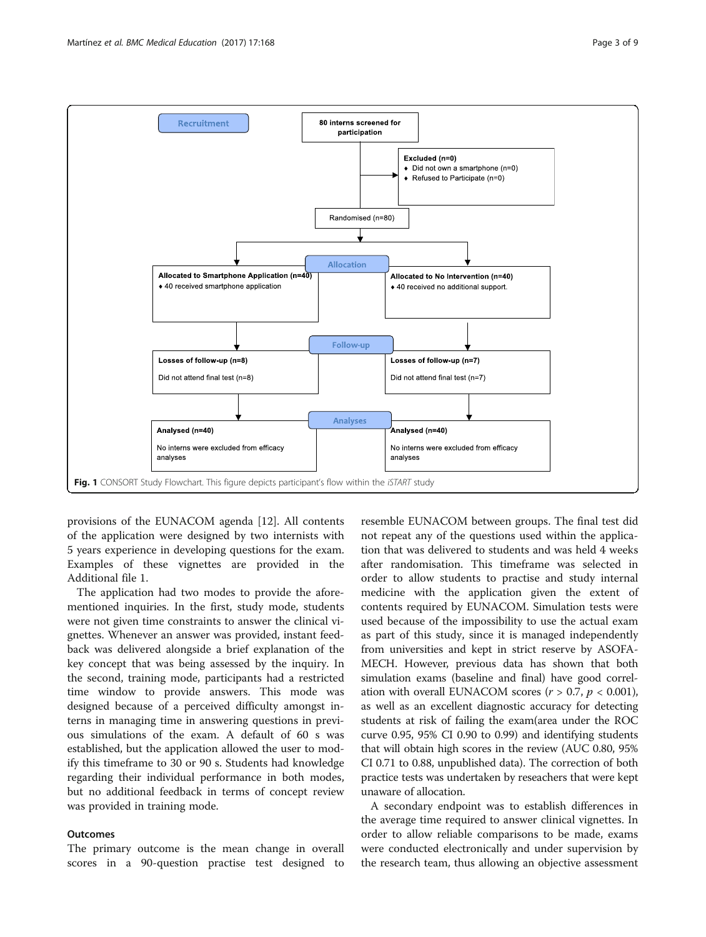<span id="page-2-0"></span>

provisions of the EUNACOM agenda [[12](#page-7-0)]. All contents of the application were designed by two internists with 5 years experience in developing questions for the exam. Examples of these vignettes are provided in the Additional file [1.](#page-7-0)

The application had two modes to provide the aforementioned inquiries. In the first, study mode, students were not given time constraints to answer the clinical vignettes. Whenever an answer was provided, instant feedback was delivered alongside a brief explanation of the key concept that was being assessed by the inquiry. In the second, training mode, participants had a restricted time window to provide answers. This mode was designed because of a perceived difficulty amongst interns in managing time in answering questions in previous simulations of the exam. A default of 60 s was established, but the application allowed the user to modify this timeframe to 30 or 90 s. Students had knowledge regarding their individual performance in both modes, but no additional feedback in terms of concept review was provided in training mode.

## **Outcomes**

The primary outcome is the mean change in overall scores in a 90-question practise test designed to

resemble EUNACOM between groups. The final test did not repeat any of the questions used within the application that was delivered to students and was held 4 weeks after randomisation. This timeframe was selected in order to allow students to practise and study internal medicine with the application given the extent of contents required by EUNACOM. Simulation tests were used because of the impossibility to use the actual exam as part of this study, since it is managed independently from universities and kept in strict reserve by ASOFA-MECH. However, previous data has shown that both simulation exams (baseline and final) have good correlation with overall EUNACOM scores  $(r > 0.7, p < 0.001)$ , as well as an excellent diagnostic accuracy for detecting students at risk of failing the exam(area under the ROC curve 0.95, 95% CI 0.90 to 0.99) and identifying students that will obtain high scores in the review (AUC 0.80, 95% CI 0.71 to 0.88, unpublished data). The correction of both practice tests was undertaken by reseachers that were kept unaware of allocation.

A secondary endpoint was to establish differences in the average time required to answer clinical vignettes. In order to allow reliable comparisons to be made, exams were conducted electronically and under supervision by the research team, thus allowing an objective assessment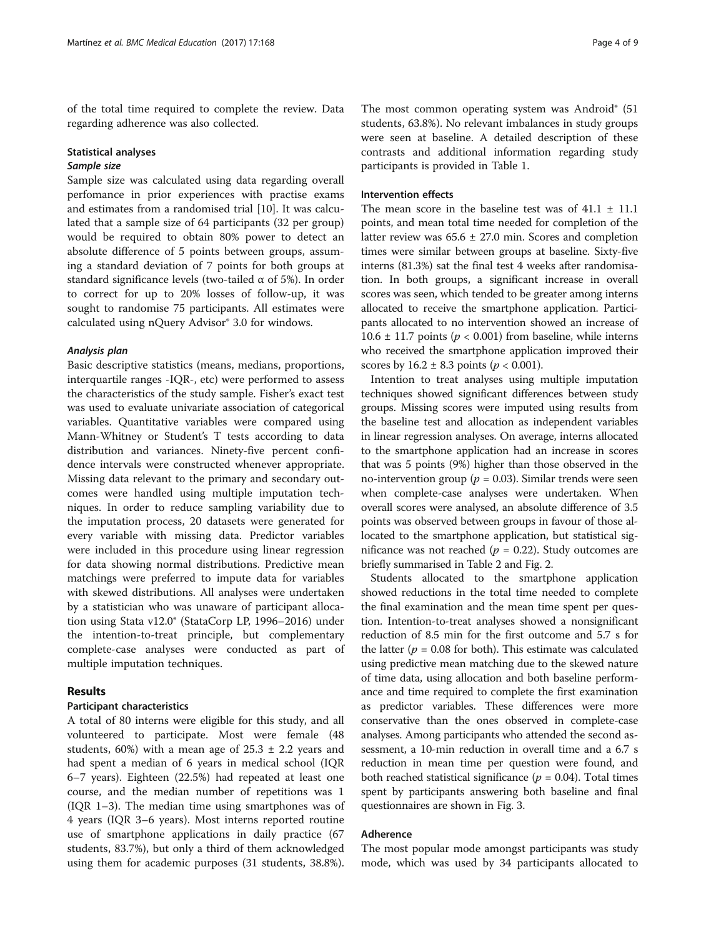of the total time required to complete the review. Data regarding adherence was also collected.

#### Statistical analyses

## Sample size

Sample size was calculated using data regarding overall perfomance in prior experiences with practise exams and estimates from a randomised trial [[10\]](#page-7-0). It was calculated that a sample size of 64 participants (32 per group) would be required to obtain 80% power to detect an absolute difference of 5 points between groups, assuming a standard deviation of 7 points for both groups at standard significance levels (two-tailed  $\alpha$  of 5%). In order to correct for up to 20% losses of follow-up, it was sought to randomise 75 participants. All estimates were calculated using nQuery Advisor® 3.0 for windows.

#### Analysis plan

Basic descriptive statistics (means, medians, proportions, interquartile ranges -IQR-, etc) were performed to assess the characteristics of the study sample. Fisher's exact test was used to evaluate univariate association of categorical variables. Quantitative variables were compared using Mann-Whitney or Student's T tests according to data distribution and variances. Ninety-five percent confidence intervals were constructed whenever appropriate. Missing data relevant to the primary and secondary outcomes were handled using multiple imputation techniques. In order to reduce sampling variability due to the imputation process, 20 datasets were generated for every variable with missing data. Predictor variables were included in this procedure using linear regression for data showing normal distributions. Predictive mean matchings were preferred to impute data for variables with skewed distributions. All analyses were undertaken by a statistician who was unaware of participant allocation using Stata v12.0® (StataCorp LP, 1996–2016) under the intention-to-treat principle, but complementary complete-case analyses were conducted as part of multiple imputation techniques.

## Results

## Participant characteristics

A total of 80 interns were eligible for this study, and all volunteered to participate. Most were female (48 students, 60%) with a mean age of  $25.3 \pm 2.2$  years and had spent a median of 6 years in medical school (IQR 6–7 years). Eighteen (22.5%) had repeated at least one course, and the median number of repetitions was 1 (IQR 1–3). The median time using smartphones was of 4 years (IQR 3–6 years). Most interns reported routine use of smartphone applications in daily practice (67 students, 83.7%), but only a third of them acknowledged using them for academic purposes (31 students, 38.8%).

The most common operating system was Android® (51 students, 63.8%). No relevant imbalances in study groups were seen at baseline. A detailed description of these contrasts and additional information regarding study participants is provided in Table [1.](#page-4-0)

## Intervention effects

The mean score in the baseline test was of  $41.1 \pm 11.1$ points, and mean total time needed for completion of the latter review was 65.6 ± 27.0 min. Scores and completion times were similar between groups at baseline. Sixty-five interns (81.3%) sat the final test 4 weeks after randomisation. In both groups, a significant increase in overall scores was seen, which tended to be greater among interns allocated to receive the smartphone application. Participants allocated to no intervention showed an increase of 10.6  $\pm$  11.7 points ( $p < 0.001$ ) from baseline, while interns who received the smartphone application improved their scores by  $16.2 \pm 8.3$  points ( $p < 0.001$ ).

Intention to treat analyses using multiple imputation techniques showed significant differences between study groups. Missing scores were imputed using results from the baseline test and allocation as independent variables in linear regression analyses. On average, interns allocated to the smartphone application had an increase in scores that was 5 points (9%) higher than those observed in the no-intervention group ( $p = 0.03$ ). Similar trends were seen when complete-case analyses were undertaken. When overall scores were analysed, an absolute difference of 3.5 points was observed between groups in favour of those allocated to the smartphone application, but statistical significance was not reached ( $p = 0.22$ ). Study outcomes are briefly summarised in Table [2](#page-4-0) and Fig. [2.](#page-5-0)

Students allocated to the smartphone application showed reductions in the total time needed to complete the final examination and the mean time spent per question. Intention-to-treat analyses showed a nonsignificant reduction of 8.5 min for the first outcome and 5.7 s for the latter ( $p = 0.08$  for both). This estimate was calculated using predictive mean matching due to the skewed nature of time data, using allocation and both baseline performance and time required to complete the first examination as predictor variables. These differences were more conservative than the ones observed in complete-case analyses. Among participants who attended the second assessment, a 10-min reduction in overall time and a 6.7 s reduction in mean time per question were found, and both reached statistical significance ( $p = 0.04$ ). Total times spent by participants answering both baseline and final questionnaires are shown in Fig. [3.](#page-5-0)

#### Adherence

The most popular mode amongst participants was study mode, which was used by 34 participants allocated to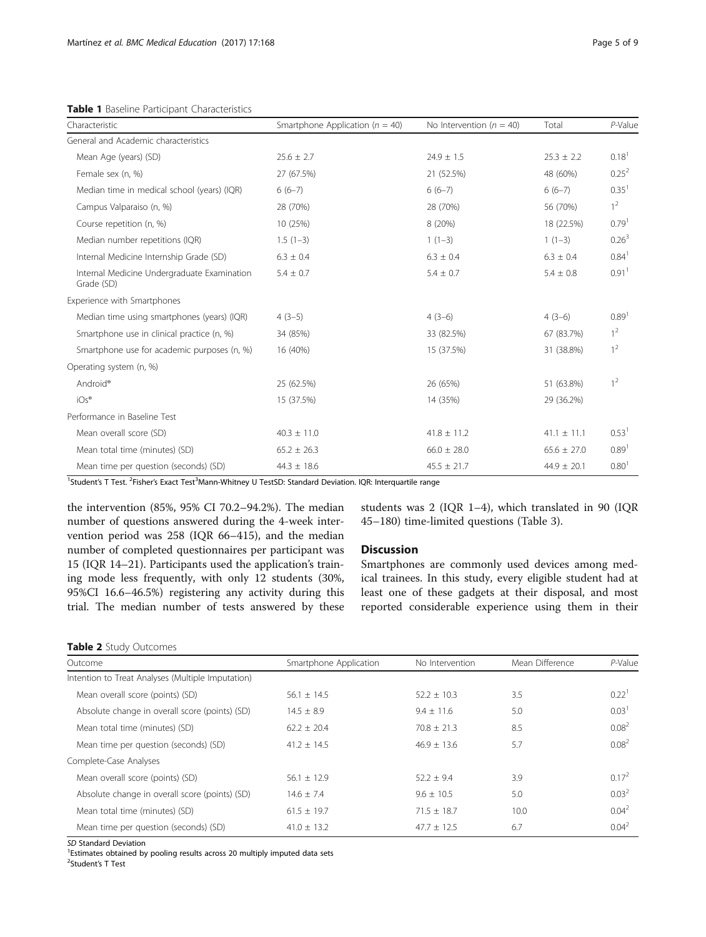<span id="page-4-0"></span>Table 1 Baseline Participant Characteristics

| Characteristic                                            | Smartphone Application ( $n = 40$ ) | No Intervention ( $n = 40$ ) | Total           | P-Value             |
|-----------------------------------------------------------|-------------------------------------|------------------------------|-----------------|---------------------|
| General and Academic characteristics                      |                                     |                              |                 |                     |
| Mean Age (years) (SD)                                     | $25.6 \pm 2.7$                      | $24.9 \pm 1.5$               | $25.3 \pm 2.2$  | $0.18$ <sup>1</sup> |
| Female sex (n, %)                                         | 27 (67.5%)                          | 21 (52.5%)                   | 48 (60%)        | $0.25^2$            |
| Median time in medical school (years) (IQR)               | $6(6-7)$                            | $6(6-7)$                     | $6(6-7)$        | $0.35$ <sup>1</sup> |
| Campus Valparaiso (n, %)                                  | 28 (70%)                            | 28 (70%)                     | 56 (70%)        | 1 <sup>2</sup>      |
| Course repetition (n, %)                                  | 10 (25%)                            | 8 (20%)                      | 18 (22.5%)      | $0.79$ <sup>1</sup> |
| Median number repetitions (IQR)                           | $1.5(1-3)$                          | $1(1-3)$                     | $1(1-3)$        | $0.26^3$            |
| Internal Medicine Internship Grade (SD)                   | $6.3 \pm 0.4$                       | $6.3 \pm 0.4$                | $6.3 \pm 0.4$   | 0.84 <sup>1</sup>   |
| Internal Medicine Undergraduate Examination<br>Grade (SD) | $5.4 \pm 0.7$                       | $5.4 \pm 0.7$                | $5.4 \pm 0.8$   | 0.91 <sup>1</sup>   |
| Experience with Smartphones                               |                                     |                              |                 |                     |
| Median time using smartphones (years) (IQR)               | $4(3-5)$                            | $4(3-6)$                     | $4(3-6)$        | 0.89 <sup>1</sup>   |
| Smartphone use in clinical practice (n, %)                | 34 (85%)                            | 33 (82.5%)                   | 67 (83.7%)      | 1 <sup>2</sup>      |
| Smartphone use for academic purposes (n, %)               | 16 (40%)                            | 15 (37.5%)                   | 31 (38.8%)      | 1 <sup>2</sup>      |
| Operating system (n, %)                                   |                                     |                              |                 |                     |
| Android®                                                  | 25 (62.5%)                          | 26 (65%)                     | 51 (63.8%)      | 1 <sup>2</sup>      |
| iOs®                                                      | 15 (37.5%)                          | 14 (35%)                     | 29 (36.2%)      |                     |
| Performance in Baseline Test                              |                                     |                              |                 |                     |
| Mean overall score (SD)                                   | $40.3 \pm 11.0$                     | $41.8 \pm 11.2$              | $41.1 \pm 11.1$ | $0.53$ <sup>1</sup> |
| Mean total time (minutes) (SD)                            | $65.2 \pm 26.3$                     | $66.0 \pm 28.0$              | $65.6 \pm 27.0$ | $0.89$ <sup>1</sup> |
| Mean time per question (seconds) (SD)                     | $44.3 \pm 18.6$                     | $45.5 \pm 21.7$              | $44.9 \pm 20.1$ | 0.80 <sup>1</sup>   |

<sup>1</sup>Student's T Test. <sup>2</sup>Fisher's Exact Test<sup>3</sup>Mann-Whitney U TestSD: Standard Deviation. IQR: Interquartile range

the intervention (85%, 95% CI 70.2–94.2%). The median number of questions answered during the 4-week intervention period was 258 (IQR 66–415), and the median number of completed questionnaires per participant was 15 (IQR 14–21). Participants used the application's training mode less frequently, with only 12 students (30%, 95%CI 16.6–46.5%) registering any activity during this trial. The median number of tests answered by these students was 2 (IQR 1–4), which translated in 90 (IQR 45–180) time-limited questions (Table [3\)](#page-5-0).

## **Discussion**

Smartphones are commonly used devices among medical trainees. In this study, every eligible student had at least one of these gadgets at their disposal, and most reported considerable experience using them in their

## Table 2 Study Outcomes

| Outcome                                           | Smartphone Application | No Intervention | Mean Difference | P-Value           |
|---------------------------------------------------|------------------------|-----------------|-----------------|-------------------|
| Intention to Treat Analyses (Multiple Imputation) |                        |                 |                 |                   |
| Mean overall score (points) (SD)                  | $56.1 \pm 14.5$        | $52.2 \pm 10.3$ | 3.5             | 0.22 <sup>1</sup> |
| Absolute change in overall score (points) (SD)    | $14.5 + 8.9$           | $9.4 + 11.6$    | 5.0             | 0.03 <sup>1</sup> |
| Mean total time (minutes) (SD)                    | $62.2 \pm 20.4$        | $70.8 \pm 21.3$ | 8.5             | 0.08 <sup>2</sup> |
| Mean time per question (seconds) (SD)             | $41.2 + 14.5$          | $46.9 + 13.6$   | 5.7             | 0.08 <sup>2</sup> |
| Complete-Case Analyses                            |                        |                 |                 |                   |
| Mean overall score (points) (SD)                  | $56.1 \pm 12.9$        | $52.2 \pm 9.4$  | 3.9             | $0.17^{2}$        |
| Absolute change in overall score (points) (SD)    | $14.6 \pm 7.4$         | $9.6 \pm 10.5$  | 5.0             | 0.03 <sup>2</sup> |
| Mean total time (minutes) (SD)                    | $61.5 + 19.7$          | $71.5 + 18.7$   | 10.0            | $0.04^2$          |
| Mean time per question (seconds) (SD)             | $41.0 \pm 13.2$        | $47.7 \pm 12.5$ | 6.7             | $0.04^2$          |

SD Standard Deviation

<sup>1</sup>Estimates obtained by pooling results across 20 multiply imputed data sets

<sup>2</sup>Student's T Test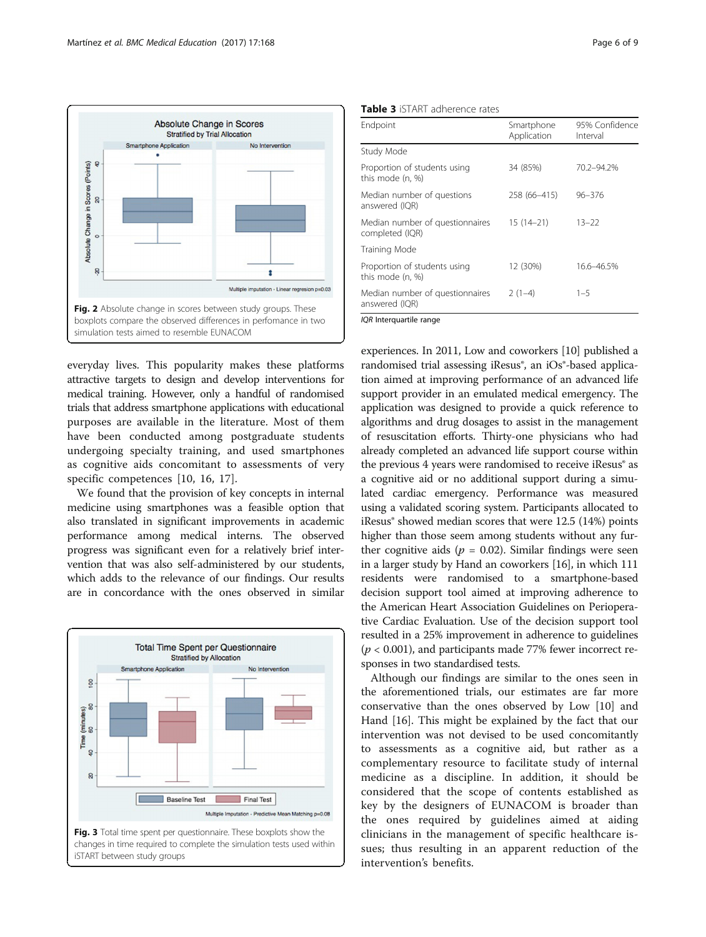<span id="page-5-0"></span>

everyday lives. This popularity makes these platforms attractive targets to design and develop interventions for medical training. However, only a handful of randomised trials that address smartphone applications with educational purposes are available in the literature. Most of them have been conducted among postgraduate students undergoing specialty training, and used smartphones as cognitive aids concomitant to assessments of very specific competences [[10, 16, 17\]](#page-7-0).

We found that the provision of key concepts in internal medicine using smartphones was a feasible option that also translated in significant improvements in academic performance among medical interns. The observed progress was significant even for a relatively brief intervention that was also self-administered by our students, which adds to the relevance of our findings. Our results are in concordance with the ones observed in similar



Table 3 iSTART adherence rates

| Endpoint                                           | Smartphone<br>Application | 95% Confidence<br>Interval |
|----------------------------------------------------|---------------------------|----------------------------|
| Study Mode                                         |                           |                            |
| Proportion of students using<br>this mode (n, %)   | 34 (85%)                  | 70.2-94.2%                 |
| Median number of questions<br>answered (IQR)       | 258 (66-415)              | $96 - 376$                 |
| Median number of questionnaires<br>completed (IQR) | $15(14-21)$               | $13 - 22$                  |
| Training Mode                                      |                           |                            |
| Proportion of students using<br>this mode (n, %)   | 12 (30%)                  | 16.6-46.5%                 |
| Median number of questionnaires<br>answered (IQR)  | $2(1-4)$                  | $1 - 5$                    |
|                                                    |                           |                            |

IQR Interquartile range

experiences. In 2011, Low and coworkers [[10\]](#page-7-0) published a randomised trial assessing iResus®, an iOs®-based application aimed at improving performance of an advanced life support provider in an emulated medical emergency. The application was designed to provide a quick reference to algorithms and drug dosages to assist in the management of resuscitation efforts. Thirty-one physicians who had already completed an advanced life support course within the previous 4 years were randomised to receive iResus<sup>®</sup> as a cognitive aid or no additional support during a simulated cardiac emergency. Performance was measured using a validated scoring system. Participants allocated to iResus® showed median scores that were 12.5 (14%) points higher than those seem among students without any further cognitive aids ( $p = 0.02$ ). Similar findings were seen in a larger study by Hand an coworkers [\[16\]](#page-7-0), in which 111 residents were randomised to a smartphone-based decision support tool aimed at improving adherence to the American Heart Association Guidelines on Perioperative Cardiac Evaluation. Use of the decision support tool resulted in a 25% improvement in adherence to guidelines  $(p < 0.001)$ , and participants made 77% fewer incorrect responses in two standardised tests.

Although our findings are similar to the ones seen in the aforementioned trials, our estimates are far more conservative than the ones observed by Low [[10\]](#page-7-0) and Hand [\[16\]](#page-7-0). This might be explained by the fact that our intervention was not devised to be used concomitantly to assessments as a cognitive aid, but rather as a complementary resource to facilitate study of internal medicine as a discipline. In addition, it should be considered that the scope of contents established as key by the designers of EUNACOM is broader than the ones required by guidelines aimed at aiding clinicians in the management of specific healthcare issues; thus resulting in an apparent reduction of the intervention's benefits.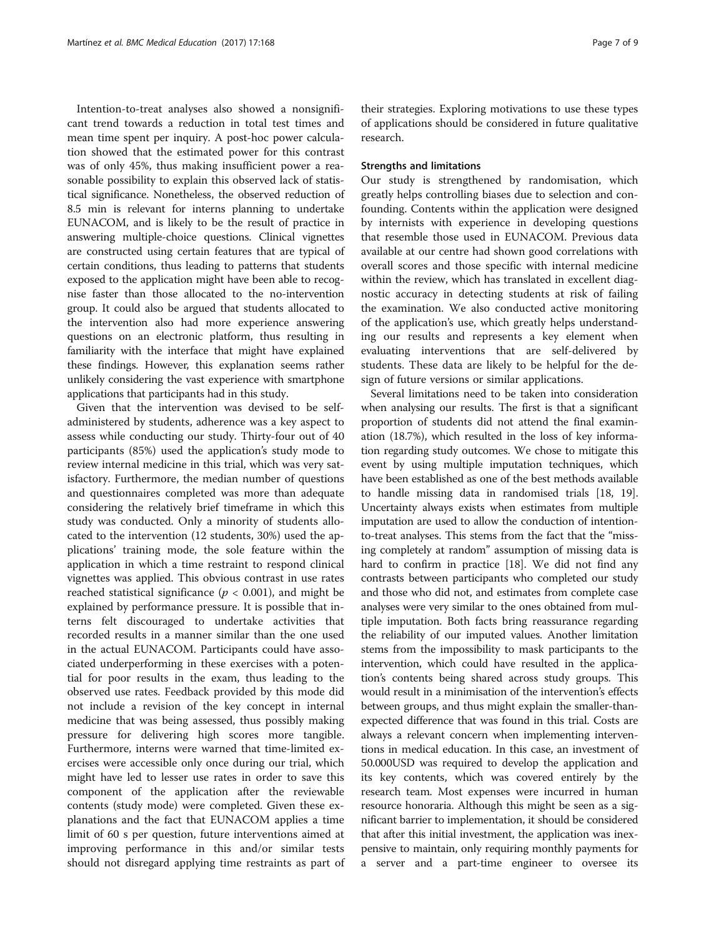Intention-to-treat analyses also showed a nonsignificant trend towards a reduction in total test times and mean time spent per inquiry. A post-hoc power calculation showed that the estimated power for this contrast was of only 45%, thus making insufficient power a reasonable possibility to explain this observed lack of statistical significance. Nonetheless, the observed reduction of 8.5 min is relevant for interns planning to undertake EUNACOM, and is likely to be the result of practice in answering multiple-choice questions. Clinical vignettes are constructed using certain features that are typical of certain conditions, thus leading to patterns that students exposed to the application might have been able to recognise faster than those allocated to the no-intervention group. It could also be argued that students allocated to the intervention also had more experience answering questions on an electronic platform, thus resulting in familiarity with the interface that might have explained these findings. However, this explanation seems rather unlikely considering the vast experience with smartphone applications that participants had in this study.

Given that the intervention was devised to be selfadministered by students, adherence was a key aspect to assess while conducting our study. Thirty-four out of 40 participants (85%) used the application's study mode to review internal medicine in this trial, which was very satisfactory. Furthermore, the median number of questions and questionnaires completed was more than adequate considering the relatively brief timeframe in which this study was conducted. Only a minority of students allocated to the intervention (12 students, 30%) used the applications' training mode, the sole feature within the application in which a time restraint to respond clinical vignettes was applied. This obvious contrast in use rates reached statistical significance ( $p < 0.001$ ), and might be explained by performance pressure. It is possible that interns felt discouraged to undertake activities that recorded results in a manner similar than the one used in the actual EUNACOM. Participants could have associated underperforming in these exercises with a potential for poor results in the exam, thus leading to the observed use rates. Feedback provided by this mode did not include a revision of the key concept in internal medicine that was being assessed, thus possibly making pressure for delivering high scores more tangible. Furthermore, interns were warned that time-limited exercises were accessible only once during our trial, which might have led to lesser use rates in order to save this component of the application after the reviewable contents (study mode) were completed. Given these explanations and the fact that EUNACOM applies a time limit of 60 s per question, future interventions aimed at improving performance in this and/or similar tests should not disregard applying time restraints as part of their strategies. Exploring motivations to use these types of applications should be considered in future qualitative research.

## Strengths and limitations

Our study is strengthened by randomisation, which greatly helps controlling biases due to selection and confounding. Contents within the application were designed by internists with experience in developing questions that resemble those used in EUNACOM. Previous data available at our centre had shown good correlations with overall scores and those specific with internal medicine within the review, which has translated in excellent diagnostic accuracy in detecting students at risk of failing the examination. We also conducted active monitoring of the application's use, which greatly helps understanding our results and represents a key element when evaluating interventions that are self-delivered by students. These data are likely to be helpful for the design of future versions or similar applications.

Several limitations need to be taken into consideration when analysing our results. The first is that a significant proportion of students did not attend the final examination (18.7%), which resulted in the loss of key information regarding study outcomes. We chose to mitigate this event by using multiple imputation techniques, which have been established as one of the best methods available to handle missing data in randomised trials [\[18, 19](#page-8-0)]. Uncertainty always exists when estimates from multiple imputation are used to allow the conduction of intentionto-treat analyses. This stems from the fact that the "missing completely at random" assumption of missing data is hard to confirm in practice [\[18](#page-8-0)]. We did not find any contrasts between participants who completed our study and those who did not, and estimates from complete case analyses were very similar to the ones obtained from multiple imputation. Both facts bring reassurance regarding the reliability of our imputed values. Another limitation stems from the impossibility to mask participants to the intervention, which could have resulted in the application's contents being shared across study groups. This would result in a minimisation of the intervention's effects between groups, and thus might explain the smaller-thanexpected difference that was found in this trial. Costs are always a relevant concern when implementing interventions in medical education. In this case, an investment of 50.000USD was required to develop the application and its key contents, which was covered entirely by the research team. Most expenses were incurred in human resource honoraria. Although this might be seen as a significant barrier to implementation, it should be considered that after this initial investment, the application was inexpensive to maintain, only requiring monthly payments for a server and a part-time engineer to oversee its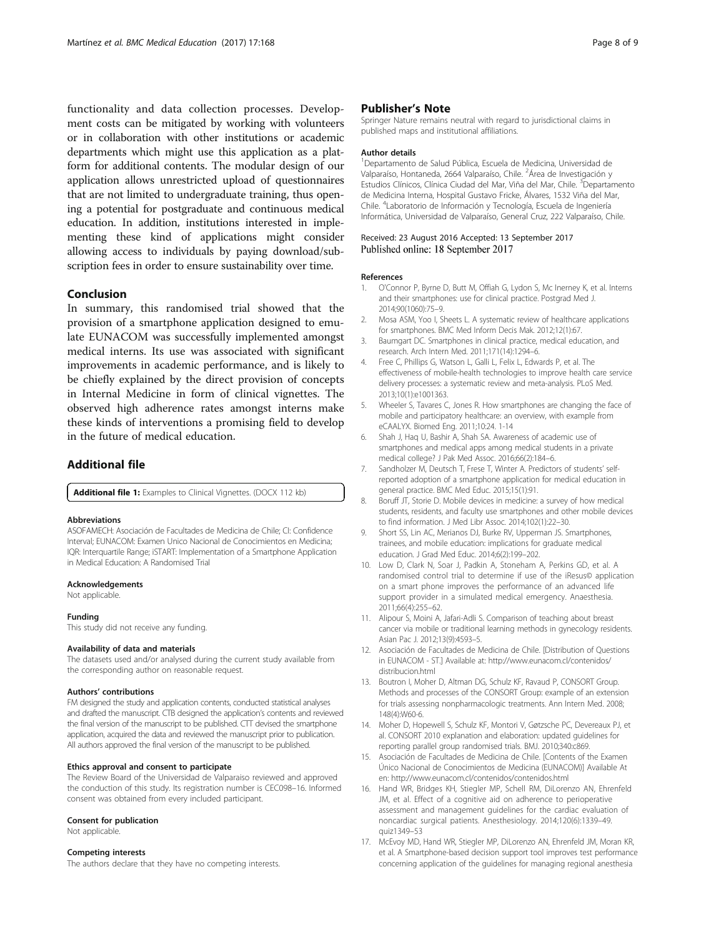<span id="page-7-0"></span>functionality and data collection processes. Development costs can be mitigated by working with volunteers or in collaboration with other institutions or academic departments which might use this application as a platform for additional contents. The modular design of our application allows unrestricted upload of questionnaires that are not limited to undergraduate training, thus opening a potential for postgraduate and continuous medical education. In addition, institutions interested in implementing these kind of applications might consider allowing access to individuals by paying download/subscription fees in order to ensure sustainability over time.

## Conclusion

In summary, this randomised trial showed that the provision of a smartphone application designed to emulate EUNACOM was successfully implemented amongst medical interns. Its use was associated with significant improvements in academic performance, and is likely to be chiefly explained by the direct provision of concepts in Internal Medicine in form of clinical vignettes. The observed high adherence rates amongst interns make these kinds of interventions a promising field to develop in the future of medical education.

## Additional file

[Additional file 1:](dx.doi.org/10.1186/s12909-017-1010-4) Examples to Clinical Vignettes. (DOCX 112 kb)

#### Abbreviations

ASOFAMECH: Asociación de Facultades de Medicina de Chile; CI: Confidence Interval; EUNACOM: Examen Unico Nacional de Conocimientos en Medicina; IQR: Interquartile Range; iSTART: Implementation of a Smartphone Application in Medical Education: A Randomised Trial

#### Acknowledgements

Not applicable.

#### Funding

This study did not receive any funding.

#### Availability of data and materials

The datasets used and/or analysed during the current study available from the corresponding author on reasonable request.

#### Authors' contributions

FM designed the study and application contents, conducted statistical analyses and drafted the manuscript. CTB designed the application's contents and reviewed the final version of the manuscript to be published. CTT devised the smartphone application, acquired the data and reviewed the manuscript prior to publication. All authors approved the final version of the manuscript to be published.

#### Ethics approval and consent to participate

The Review Board of the Universidad de Valparaiso reviewed and approved the conduction of this study. Its registration number is CEC098–16. Informed consent was obtained from every included participant.

#### Consent for publication

Not applicable.

## Competing interests

The authors declare that they have no competing interests.

### Publisher's Note

Springer Nature remains neutral with regard to jurisdictional claims in published maps and institutional affiliations.

#### Author details

1 Departamento de Salud Pública, Escuela de Medicina, Universidad de Valparaíso, Hontaneda, 2664 Valparaíso, Chile. <sup>2</sup>Área de Investigación y Estudios Clínicos, Clínica Ciudad del Mar, Viña del Mar, Chile. <sup>3</sup>Departamento de Medicina Interna, Hospital Gustavo Fricke, Álvares, 1532 Viña del Mar, Chile. <sup>4</sup> Laboratorio de Información y Tecnología, Escuela de Ingeniería Informática, Universidad de Valparaíso, General Cruz, 222 Valparaíso, Chile.

#### Received: 23 August 2016 Accepted: 13 September 2017 Published online: 18 September 2017

#### References

- 1. O'Connor P, Byrne D, Butt M, Offiah G, Lydon S, Mc Inerney K, et al. Interns and their smartphones: use for clinical practice. Postgrad Med J. 2014;90(1060):75–9.
- 2. Mosa ASM, Yoo I, Sheets L. A systematic review of healthcare applications for smartphones. BMC Med Inform Decis Mak. 2012;12(1):67.
- Baumgart DC. Smartphones in clinical practice, medical education, and research. Arch Intern Med. 2011;171(14):1294–6.
- 4. Free C, Phillips G, Watson L, Galli L, Felix L, Edwards P, et al. The effectiveness of mobile-health technologies to improve health care service delivery processes: a systematic review and meta-analysis. PLoS Med. 2013;10(1):e1001363.
- 5. Wheeler S, Tavares C, Jones R. How smartphones are changing the face of mobile and participatory healthcare: an overview, with example from eCAALYX. Biomed Eng. 2011;10:24. 1-14
- 6. Shah J, Haq U, Bashir A, Shah SA. Awareness of academic use of smartphones and medical apps among medical students in a private medical college? J Pak Med Assoc. 2016;66(2):184–6.
- 7. Sandholzer M, Deutsch T, Frese T, Winter A. Predictors of students' selfreported adoption of a smartphone application for medical education in general practice. BMC Med Educ. 2015;15(1):91.
- 8. Boruff JT, Storie D. Mobile devices in medicine: a survey of how medical students, residents, and faculty use smartphones and other mobile devices to find information. J Med Libr Assoc. 2014;102(1):22–30.
- 9. Short SS, Lin AC, Merianos DJ, Burke RV, Upperman JS. Smartphones, trainees, and mobile education: implications for graduate medical education. J Grad Med Educ. 2014;6(2):199–202.
- 10. Low D, Clark N, Soar J, Padkin A, Stoneham A, Perkins GD, et al. A randomised control trial to determine if use of the iResus© application on a smart phone improves the performance of an advanced life support provider in a simulated medical emergency. Anaesthesia. 2011;66(4):255–62.
- 11. Alipour S, Moini A, Jafari-Adli S. Comparison of teaching about breast cancer via mobile or traditional learning methods in gynecology residents. Asian Pac J. 2012;13(9):4593–5.
- 12. Asociación de Facultades de Medicina de Chile. [Distribution of Questions in EUNACOM - ST.] Available at: [http://www.eunacom.cl/contenidos/](http://www.eunacom.cl/contenidos/distribucion.html) [distribucion.html](http://www.eunacom.cl/contenidos/distribucion.html)
- 13. Boutron I, Moher D, Altman DG, Schulz KF, Ravaud P, CONSORT Group. Methods and processes of the CONSORT Group: example of an extension for trials assessing nonpharmacologic treatments. Ann Intern Med. 2008; 148(4):W60-6.
- 14. Moher D, Hopewell S, Schulz KF, Montori V, Gøtzsche PC, Devereaux PJ, et al. CONSORT 2010 explanation and elaboration: updated guidelines for reporting parallel group randomised trials. BMJ. 2010;340:c869.
- 15. Asociación de Facultades de Medicina de Chile. [Contents of the Examen Único Nacional de Conocimientos de Medicina (EUNACOM)] Available At en:<http://www.eunacom.cl/contenidos/contenidos.html>
- 16. Hand WR, Bridges KH, Stiegler MP, Schell RM, DiLorenzo AN, Ehrenfeld JM, et al. Effect of a cognitive aid on adherence to perioperative assessment and management guidelines for the cardiac evaluation of noncardiac surgical patients. Anesthesiology. 2014;120(6):1339–49. quiz1349–53
- 17. McEvoy MD, Hand WR, Stiegler MP, DiLorenzo AN, Ehrenfeld JM, Moran KR, et al. A Smartphone-based decision support tool improves test performance concerning application of the guidelines for managing regional anesthesia